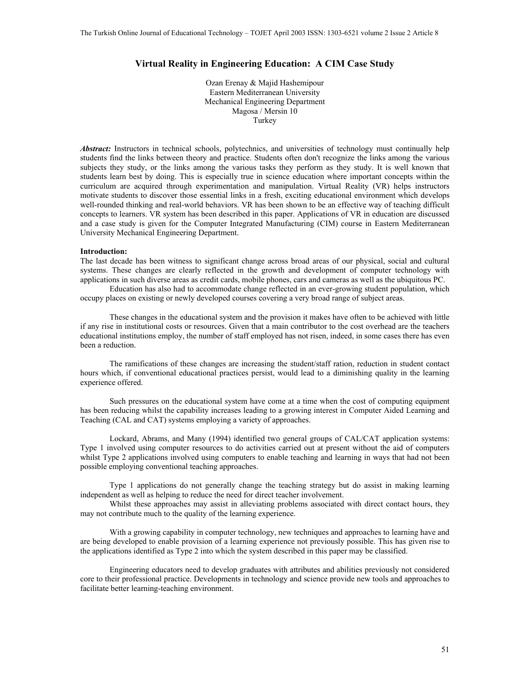# **Virtual Reality in Engineering Education: A CIM Case Study**

Ozan Erenay & Majid Hashemipour Eastern Mediterranean University Mechanical Engineering Department Magosa / Mersin 10 Turkey

*Abstract:* Instructors in technical schools, polytechnics, and universities of technology must continually help students find the links between theory and practice. Students often don't recognize the links among the various subjects they study, or the links among the various tasks they perform as they study. It is well known that students learn best by doing. This is especially true in science education where important concepts within the curriculum are acquired through experimentation and manipulation. Virtual Reality (VR) helps instructors motivate students to discover those essential links in a fresh, exciting educational environment which develops well-rounded thinking and real-world behaviors. VR has been shown to be an effective way of teaching difficult concepts to learners. VR system has been described in this paper. Applications of VR in education are discussed and a case study is given for the Computer Integrated Manufacturing (CIM) course in Eastern Mediterranean University Mechanical Engineering Department.

## **Introduction:**

The last decade has been witness to significant change across broad areas of our physical, social and cultural systems. These changes are clearly reflected in the growth and development of computer technology with applications in such diverse areas as credit cards, mobile phones, cars and cameras as well as the ubiquitous PC.

Education has also had to accommodate change reflected in an ever-growing student population, which occupy places on existing or newly developed courses covering a very broad range of subject areas.

These changes in the educational system and the provision it makes have often to be achieved with little if any rise in institutional costs or resources. Given that a main contributor to the cost overhead are the teachers educational institutions employ, the number of staff employed has not risen, indeed, in some cases there has even been a reduction.

The ramifications of these changes are increasing the student/staff ration, reduction in student contact hours which, if conventional educational practices persist, would lead to a diminishing quality in the learning experience offered.

Such pressures on the educational system have come at a time when the cost of computing equipment has been reducing whilst the capability increases leading to a growing interest in Computer Aided Learning and Teaching (CAL and CAT) systems employing a variety of approaches.

Lockard, Abrams, and Many (1994) identified two general groups of CAL/CAT application systems: Type 1 involved using computer resources to do activities carried out at present without the aid of computers whilst Type 2 applications involved using computers to enable teaching and learning in ways that had not been possible employing conventional teaching approaches.

Type 1 applications do not generally change the teaching strategy but do assist in making learning independent as well as helping to reduce the need for direct teacher involvement.

Whilst these approaches may assist in alleviating problems associated with direct contact hours, they may not contribute much to the quality of the learning experience.

With a growing capability in computer technology, new techniques and approaches to learning have and are being developed to enable provision of a learning experience not previously possible. This has given rise to the applications identified as Type 2 into which the system described in this paper may be classified.

Engineering educators need to develop graduates with attributes and abilities previously not considered core to their professional practice. Developments in technology and science provide new tools and approaches to facilitate better learning-teaching environment.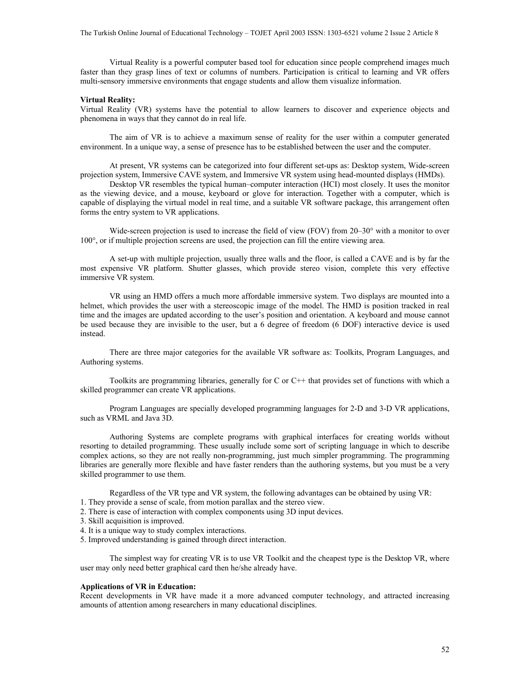Virtual Reality is a powerful computer based tool for education since people comprehend images much faster than they grasp lines of text or columns of numbers. Participation is critical to learning and VR offers multi-sensory immersive environments that engage students and allow them visualize information.

#### **Virtual Reality:**

Virtual Reality (VR) systems have the potential to allow learners to discover and experience objects and phenomena in ways that they cannot do in real life.

The aim of VR is to achieve a maximum sense of reality for the user within a computer generated environment. In a unique way, a sense of presence has to be established between the user and the computer.

At present, VR systems can be categorized into four different set-ups as: Desktop system, Wide-screen projection system, Immersive CAVE system, and Immersive VR system using head-mounted displays (HMDs).

Desktop VR resembles the typical human–computer interaction (HCI) most closely. It uses the monitor as the viewing device, and a mouse, keyboard or glove for interaction. Together with a computer, which is capable of displaying the virtual model in real time, and a suitable VR software package, this arrangement often forms the entry system to VR applications.

Wide-screen projection is used to increase the field of view (FOV) from 20–30° with a monitor to over 100°, or if multiple projection screens are used, the projection can fill the entire viewing area.

A set-up with multiple projection, usually three walls and the floor, is called a CAVE and is by far the most expensive VR platform. Shutter glasses, which provide stereo vision, complete this very effective immersive VR system.

VR using an HMD offers a much more affordable immersive system. Two displays are mounted into a helmet, which provides the user with a stereoscopic image of the model. The HMD is position tracked in real time and the images are updated according to the user's position and orientation. A keyboard and mouse cannot be used because they are invisible to the user, but a 6 degree of freedom (6 DOF) interactive device is used instead.

There are three major categories for the available VR software as: Toolkits, Program Languages, and Authoring systems.

Toolkits are programming libraries, generally for C or C++ that provides set of functions with which a skilled programmer can create VR applications.

Program Languages are specially developed programming languages for 2-D and 3-D VR applications, such as VRML and Java 3D.

Authoring Systems are complete programs with graphical interfaces for creating worlds without resorting to detailed programming. These usually include some sort of scripting language in which to describe complex actions, so they are not really non-programming, just much simpler programming. The programming libraries are generally more flexible and have faster renders than the authoring systems, but you must be a very skilled programmer to use them.

Regardless of the VR type and VR system, the following advantages can be obtained by using VR:

- 1. They provide a sense of scale, from motion parallax and the stereo view.
- 2. There is ease of interaction with complex components using 3D input devices.
- 3. Skill acquisition is improved.
- 4. It is a unique way to study complex interactions.
- 5. Improved understanding is gained through direct interaction.

The simplest way for creating VR is to use VR Toolkit and the cheapest type is the Desktop VR, where user may only need better graphical card then he/she already have.

#### **Applications of VR in Education:**

Recent developments in VR have made it a more advanced computer technology, and attracted increasing amounts of attention among researchers in many educational disciplines.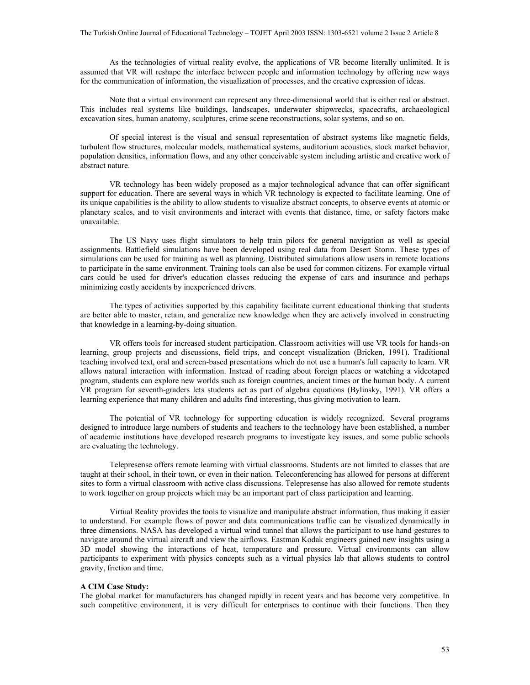As the technologies of virtual reality evolve, the applications of VR become literally unlimited. It is assumed that VR will reshape the interface between people and information technology by offering new ways for the communication of information, the visualization of processes, and the creative expression of ideas.

Note that a virtual environment can represent any three-dimensional world that is either real or abstract. This includes real systems like buildings, landscapes, underwater shipwrecks, spacecrafts, archaeological excavation sites, human anatomy, sculptures, crime scene reconstructions, solar systems, and so on.

Of special interest is the visual and sensual representation of abstract systems like magnetic fields, turbulent flow structures, molecular models, mathematical systems, auditorium acoustics, stock market behavior, population densities, information flows, and any other conceivable system including artistic and creative work of abstract nature.

VR technology has been widely proposed as a major technological advance that can offer significant support for education. There are several ways in which VR technology is expected to facilitate learning. One of its unique capabilities is the ability to allow students to visualize abstract concepts, to observe events at atomic or planetary scales, and to visit environments and interact with events that distance, time, or safety factors make unavailable.

The US Navy uses flight simulators to help train pilots for general navigation as well as special assignments. Battlefield simulations have been developed using real data from Desert Storm. These types of simulations can be used for training as well as planning. Distributed simulations allow users in remote locations to participate in the same environment. Training tools can also be used for common citizens. For example virtual cars could be used for driver's education classes reducing the expense of cars and insurance and perhaps minimizing costly accidents by inexperienced drivers.

The types of activities supported by this capability facilitate current educational thinking that students are better able to master, retain, and generalize new knowledge when they are actively involved in constructing that knowledge in a learning-by-doing situation.

VR offers tools for increased student participation. Classroom activities will use VR tools for hands-on learning, group projects and discussions, field trips, and concept visualization (Bricken, 1991). Traditional teaching involved text, oral and screen-based presentations which do not use a human's full capacity to learn. VR allows natural interaction with information. Instead of reading about foreign places or watching a videotaped program, students can explore new worlds such as foreign countries, ancient times or the human body. A current VR program for seventh-graders lets students act as part of algebra equations (Bylinsky, 1991). VR offers a learning experience that many children and adults find interesting, thus giving motivation to learn.

The potential of VR technology for supporting education is widely recognized. Several programs designed to introduce large numbers of students and teachers to the technology have been established, a number of academic institutions have developed research programs to investigate key issues, and some public schools are evaluating the technology.

Telepresense offers remote learning with virtual classrooms. Students are not limited to classes that are taught at their school, in their town, or even in their nation. Teleconferencing has allowed for persons at different sites to form a virtual classroom with active class discussions. Telepresense has also allowed for remote students to work together on group projects which may be an important part of class participation and learning.

Virtual Reality provides the tools to visualize and manipulate abstract information, thus making it easier to understand. For example flows of power and data communications traffic can be visualized dynamically in three dimensions. NASA has developed a virtual wind tunnel that allows the participant to use hand gestures to navigate around the virtual aircraft and view the airflows. Eastman Kodak engineers gained new insights using a 3D model showing the interactions of heat, temperature and pressure. Virtual environments can allow participants to experiment with physics concepts such as a virtual physics lab that allows students to control gravity, friction and time.

#### **A CIM Case Study:**

The global market for manufacturers has changed rapidly in recent years and has become very competitive. In such competitive environment, it is very difficult for enterprises to continue with their functions. Then they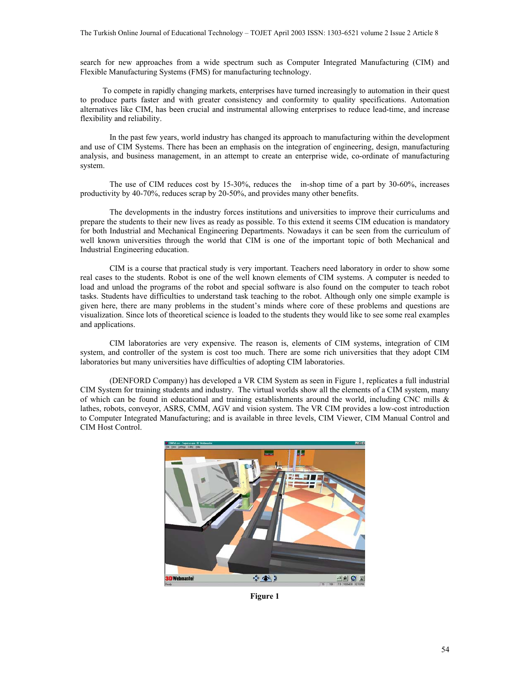search for new approaches from a wide spectrum such as Computer Integrated Manufacturing (CIM) and Flexible Manufacturing Systems (FMS) for manufacturing technology.

 To compete in rapidly changing markets, enterprises have turned increasingly to automation in their quest to produce parts faster and with greater consistency and conformity to quality specifications. Automation alternatives like CIM, has been crucial and instrumental allowing enterprises to reduce lead-time, and increase flexibility and reliability.

In the past few years, world industry has changed its approach to manufacturing within the development and use of CIM Systems. There has been an emphasis on the integration of engineering, design, manufacturing analysis, and business management, in an attempt to create an enterprise wide, co-ordinate of manufacturing system.

The use of CIM reduces cost by 15-30%, reduces the in-shop time of a part by 30-60%, increases productivity by 40-70%, reduces scrap by 20-50%, and provides many other benefits.

The developments in the industry forces institutions and universities to improve their curriculums and prepare the students to their new lives as ready as possible. To this extend it seems CIM education is mandatory for both Industrial and Mechanical Engineering Departments. Nowadays it can be seen from the curriculum of well known universities through the world that CIM is one of the important topic of both Mechanical and Industrial Engineering education.

CIM is a course that practical study is very important. Teachers need laboratory in order to show some real cases to the students. Robot is one of the well known elements of CIM systems. A computer is needed to load and unload the programs of the robot and special software is also found on the computer to teach robot tasks. Students have difficulties to understand task teaching to the robot. Although only one simple example is given here, there are many problems in the student's minds where core of these problems and questions are visualization. Since lots of theoretical science is loaded to the students they would like to see some real examples and applications.

CIM laboratories are very expensive. The reason is, elements of CIM systems, integration of CIM system, and controller of the system is cost too much. There are some rich universities that they adopt CIM laboratories but many universities have difficulties of adopting CIM laboratories.

(DENFORD Company) has developed a VR CIM System as seen in Figure 1, replicates a full industrial CIM System for training students and industry. The virtual worlds show all the elements of a CIM system, many of which can be found in educational and training establishments around the world, including CNC mills & lathes, robots, conveyor, ASRS, CMM, AGV and vision system. The VR CIM provides a low-cost introduction to Computer Integrated Manufacturing; and is available in three levels, CIM Viewer, CIM Manual Control and CIM Host Control.



**Figure 1**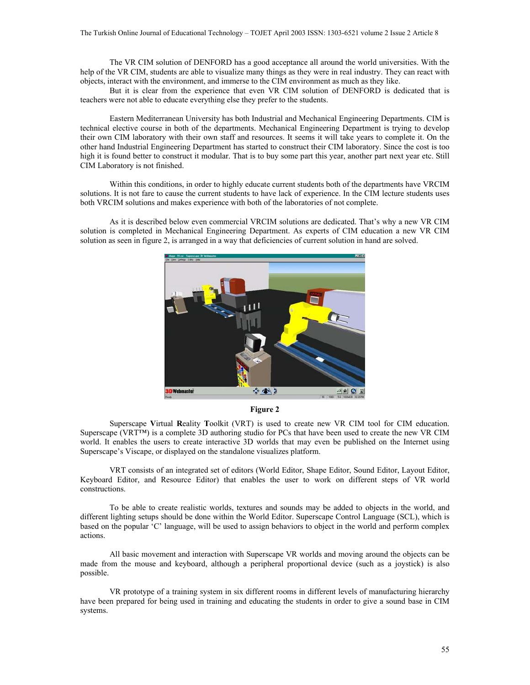The VR CIM solution of DENFORD has a good acceptance all around the world universities. With the help of the VR CIM, students are able to visualize many things as they were in real industry. They can react with objects, interact with the environment, and immerse to the CIM environment as much as they like.

But it is clear from the experience that even VR CIM solution of DENFORD is dedicated that is teachers were not able to educate everything else they prefer to the students.

Eastern Mediterranean University has both Industrial and Mechanical Engineering Departments. CIM is technical elective course in both of the departments. Mechanical Engineering Department is trying to develop their own CIM laboratory with their own staff and resources. It seems it will take years to complete it. On the other hand Industrial Engineering Department has started to construct their CIM laboratory. Since the cost is too high it is found better to construct it modular. That is to buy some part this year, another part next year etc. Still CIM Laboratory is not finished.

Within this conditions, in order to highly educate current students both of the departments have VRCIM solutions. It is not fare to cause the current students to have lack of experience. In the CIM lecture students uses both VRCIM solutions and makes experience with both of the laboratories of not complete.

As it is described below even commercial VRCIM solutions are dedicated. That's why a new VR CIM solution is completed in Mechanical Engineering Department. As experts of CIM education a new VR CIM solution as seen in figure 2, is arranged in a way that deficiencies of current solution in hand are solved.



## **Figure 2**

Superscape **V**irtual **R**eality **T**oolkit (VRT) is used to create new VR CIM tool for CIM education. Superscape (VRT™) is a complete 3D authoring studio for PCs that have been used to create the new VR CIM world. It enables the users to create interactive 3D worlds that may even be published on the Internet using Superscape's Viscape, or displayed on the standalone visualizes platform.

VRT consists of an integrated set of editors (World Editor, Shape Editor, Sound Editor, Layout Editor, Keyboard Editor, and Resource Editor) that enables the user to work on different steps of VR world constructions.

To be able to create realistic worlds, textures and sounds may be added to objects in the world, and different lighting setups should be done within the World Editor. Superscape Control Language (SCL), which is based on the popular 'C' language, will be used to assign behaviors to object in the world and perform complex actions.

All basic movement and interaction with Superscape VR worlds and moving around the objects can be made from the mouse and keyboard, although a peripheral proportional device (such as a joystick) is also possible.

VR prototype of a training system in six different rooms in different levels of manufacturing hierarchy have been prepared for being used in training and educating the students in order to give a sound base in CIM systems.